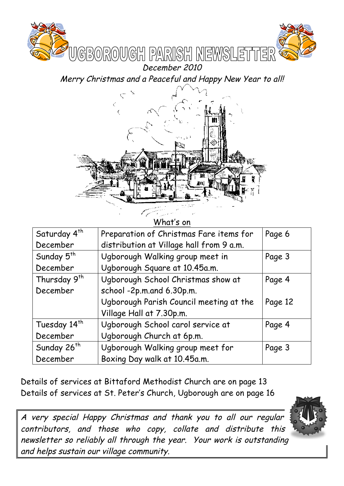

Merry Christmas and a Peaceful and Happy New Year to all!



What's on

| Saturday 4 <sup>th</sup> | Preparation of Christmas Fare items for  | Page 6  |
|--------------------------|------------------------------------------|---------|
| December                 | distribution at Village hall from 9 a.m. |         |
| Sunday 5 <sup>th</sup>   | Ugborough Walking group meet in          | Page 3  |
| December                 | Ugborough Square at 10.45a.m.            |         |
| Thursday 9 <sup>th</sup> | Ugborough School Christmas show at       | Page 4  |
| December                 | school -2p.m.and 6.30p.m.                |         |
|                          | Ugborough Parish Council meeting at the  | Page 12 |
|                          | Village Hall at 7.30p.m.                 |         |
| Tuesday 14 <sup>th</sup> | Ugborough School carol service at        | Page 4  |
| December                 | Ugborough Church at 6p.m.                |         |
| Sunday 26 <sup>th</sup>  | Ugborough Walking group meet for         | Page 3  |
| December                 | Boxing Day walk at 10.45a.m.             |         |

Details of services at Bittaford Methodist Church are on page 13 Details of services at St. Peter's Church, Ugborough are on page 16

A very special Happy Christmas and thank you to all our regular contributors, and those who copy, collate and distribute this newsletter so reliably all through the year. Your work is outstanding and helps sustain our village community.

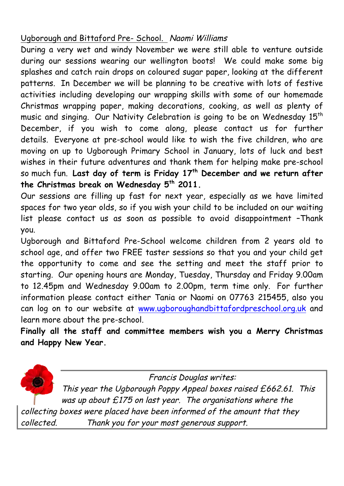## Ugborough and Bittaford Pre- School. Naomi Williams

During a very wet and windy November we were still able to venture outside during our sessions wearing our wellington boots! We could make some big splashes and catch rain drops on coloured sugar paper, looking at the different patterns. In December we will be planning to be creative with lots of festive activities including developing our wrapping skills with some of our homemade Christmas wrapping paper, making decorations, cooking, as well as plenty of music and singing. Our Nativity Celebration is going to be on Wednesday 15<sup>th</sup> December, if you wish to come along, please contact us for further details. Everyone at pre-school would like to wish the five children, who are moving on up to Ugborough Primary School in January, lots of luck and best wishes in their future adventures and thank them for helping make pre-school so much fun. **Last day of term is Friday 17th December and we return after the Christmas break on Wednesday 5th 2011.**

Our sessions are filling up fast for next year, especially as we have limited spaces for two year olds, so if you wish your child to be included on our waiting list please contact us as soon as possible to avoid disappointment –Thank you.

Ugborough and Bittaford Pre-School welcome children from 2 years old to school age, and offer two FREE taster sessions so that you and your child get the opportunity to come and see the setting and meet the staff prior to starting. Our opening hours are Monday, Tuesday, Thursday and Friday 9.00am to 12.45pm and Wednesday 9.00am to 2.00pm, term time only. For further information please contact either Tania or Naomi on 07763 215455, also you can log on to our website at www.ugboroughandbittafordpreschool.org.uk and learn more about the pre-school.

**Finally all the staff and committee members wish you a Merry Christmas and Happy New Year.**

Francis Douglas writes:

This year the Ugborough Poppy Appeal boxes raised £662.61. This was up about  $£175$  on last year. The organisations where the collecting boxes were placed have been informed of the amount that they collected. Thank you for your most generous support.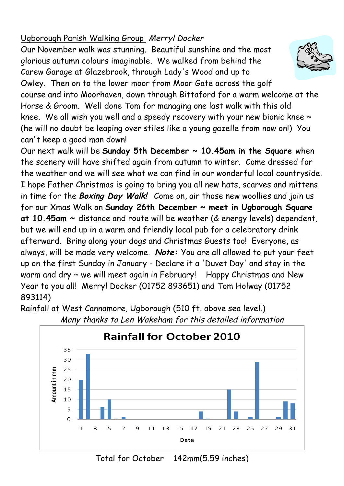# Ugborough Parish Walking Group Merryl Docker

Our November walk was stunning. Beautiful sunshine and the most glorious autumn colours imaginable. We walked from behind the Carew Garage at Glazebrook, through Lady's Wood and up to Owley. Then on to the lower moor from Moor Gate across the golf course and into Moorhaven, down through Bittaford for a warm welcome at the Horse & Groom. Well done Tom for managing one last walk with this old knee. We all wish you well and a speedy recovery with your new bionic knee ~ (he will no doubt be leaping over stiles like a young gazelle from now on!) You can't keep a good man down!

Our next walk will be **Sunday 5th December ~ 10.45am in the Square** when the scenery will have shifted again from autumn to winter. Come dressed for the weather and we will see what we can find in our wonderful local countryside. I hope Father Christmas is going to bring you all new hats, scarves and mittens in time for the **Boxing Day Walk!** Come on, air those new woollies and join us for our Xmas Walk on **Sunday 26th December ~ meet in Ugborough Square at 10.45am ~** distance and route will be weather (& energy levels) dependent, but we will end up in a warm and friendly local pub for a celebratory drink afterward. Bring along your dogs and Christmas Guests too! Everyone, as always, will be made very welcome. **Note:** You are all allowed to put your feet up on the first Sunday in January - Declare it a 'Duvet Day' and stay in the warm and dry ~ we will meet again in February! Happy Christmas and New Year to you all! Merryl Docker (01752 893651) and Tom Holway (01752 893114)



Many thanks to Len Wakeham for this detailed information

Rainfall at West Cannamore, Ugborough (510 ft. above sea level.)

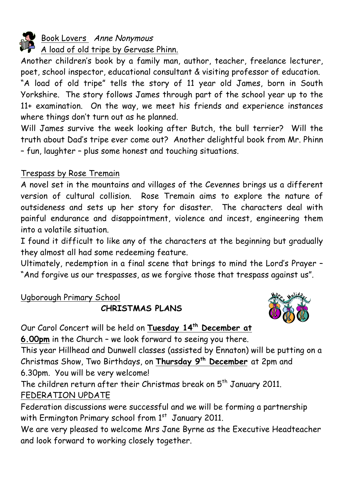

### Book Lovers Anne Nonymous

A load of old tripe by Gervase Phinn.

Another children's book by a family man, author, teacher, freelance lecturer, poet, school inspector, educational consultant & visiting professor of education.

"A load of old tripe" tells the story of 11 year old James, born in South Yorkshire. The story follows James through part of the school year up to the 11+ examination. On the way, we meet his friends and experience instances where things don't turn out as he planned.

Will James survive the week looking after Butch, the bull terrier? Will the truth about Dad's tripe ever come out? Another delightful book from Mr. Phinn – fun, laughter – plus some honest and touching situations.

### Trespass by Rose Tremain

A novel set in the mountains and villages of the Cevennes brings us a different version of cultural collision. Rose Tremain aims to explore the nature of outsideness and sets up her story for disaster. The characters deal with painful endurance and disappointment, violence and incest, engineering them into a volatile situation.

I found it difficult to like any of the characters at the beginning but gradually they almost all had some redeeming feature.

Ultimately, redemption in a final scene that brings to mind the Lord's Prayer – "And forgive us our trespasses, as we forgive those that trespass against us".

### Ugborough Primary School

**CHRISTMAS PLANS**



Our Carol Concert will be held on **Tuesday 14th December at** 

**6.00pm** in the Church – we look forward to seeing you there.

This year Hillhead and Dunwell classes (assisted by Ennaton) will be putting on a Christmas Show, Two Birthdays, on **Thursday 9th December** at 2pm and 6.30pm. You will be very welcome!

The children return after their Christmas break on 5<sup>th</sup> January 2011. FEDERATION UPDATE

Federation discussions were successful and we will be forming a partnership with Ermington Primary school from 1st January 2011.

We are very pleased to welcome Mrs Jane Byrne as the Executive Headteacher and look forward to working closely together.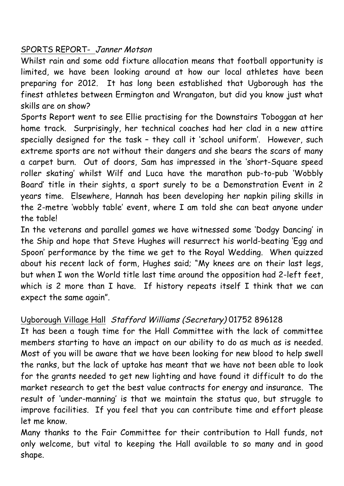### SPORTS REPORT- Janner Motson

Whilst rain and some odd fixture allocation means that football opportunity is limited, we have been looking around at how our local athletes have been preparing for 2012. It has long been established that Ugborough has the finest athletes between Ermington and Wrangaton, but did you know just what skills are on show?

Sports Report went to see Ellie practising for the Downstairs Toboggan at her home track. Surprisingly, her technical coaches had her clad in a new attire specially designed for the task – they call it 'school uniform'. However, such extreme sports are not without their dangers and she bears the scars of many a carpet burn. Out of doors, Sam has impressed in the 'short-Square speed roller skating' whilst Wilf and Luca have the marathon pub-to-pub 'Wobbly Board' title in their sights, a sport surely to be a Demonstration Event in 2 years time. Elsewhere, Hannah has been developing her napkin piling skills in the 2-metre 'wobbly table' event, where I am told she can beat anyone under the table!

In the veterans and parallel games we have witnessed some 'Dodgy Dancing' in the Ship and hope that Steve Hughes will resurrect his world-beating 'Egg and Spoon' performance by the time we get to the Royal Wedding. When quizzed about his recent lack of form, Hughes said; "My knees are on their last legs, but when I won the World title last time around the opposition had 2-left feet, which is 2 more than I have. If history repeats itself I think that we can expect the same again".

## Ugborough Village Hall Stafford Williams (Secretary) 01752 896128

It has been a tough time for the Hall Committee with the lack of committee members starting to have an impact on our ability to do as much as is needed. Most of you will be aware that we have been looking for new blood to help swell the ranks, but the lack of uptake has meant that we have not been able to look for the grants needed to get new lighting and have found it difficult to do the market research to get the best value contracts for energy and insurance. The result of 'under-manning' is that we maintain the status quo, but struggle to improve facilities. If you feel that you can contribute time and effort please let me know.

Many thanks to the Fair Committee for their contribution to Hall funds, not only welcome, but vital to keeping the Hall available to so many and in good shape.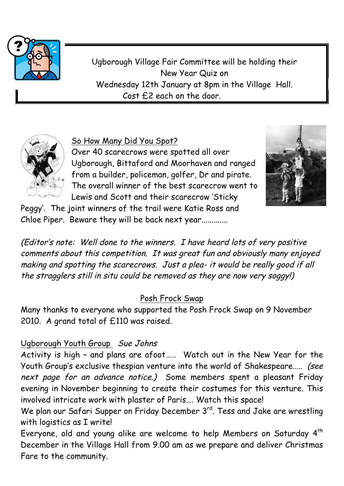

Ugborough Village Fair Committee will be holding their New Year Quiz on Wednesday 12th January at 8pm in the Village Hall. Cost £2 each on the door.



# So How Many Did You Spot?

Over 40 scarecrows were spotted all over Ugborough, Bittaford and Moorhaven and ranged from a builder, policeman, golfer, Dr and pirate. The overall winner of the best scarecrow went to Lewis and Scott and their scarecrow 'Sticky



Peggy'. The joint winners of the trail were Katie Ross and Chloe Piper. Beware they will be back next year.............

(Editor's note: Well done to the winners. I have heard lots of very positive comments about this competition. It was great fun and obviously many enjoyed making and spotting the scarecrows. Just a plea- it would be really good if all the stragglers still in situ could be removed as they are now very soggy!)

## Posh Frock Swap

Many thanks to everyone who supported the Posh Frock Swap on 9 November 2010. A grand total of £110 was raised.

## Ugborough Youth Group Sue Johns

Activity is high – and plans are afoot…… Watch out in the New Year for the Youth Group's exclusive thespian venture into the world of Shakespeare….. (see next page for an advance notice.) Some members spent a pleasant Friday evening in November beginning to create their costumes for this venture. This involved intricate work with plaster of Paris…. Watch this space!

We plan our Safari Supper on Friday December 3<sup>rd</sup>. Tess and Jake are wrestling with logistics as I write!

Everyone, old and young alike are welcome to help Members on Saturday 4<sup>th</sup> December in the Village Hall from 9.00 am as we prepare and deliver Christmas Fare to the community.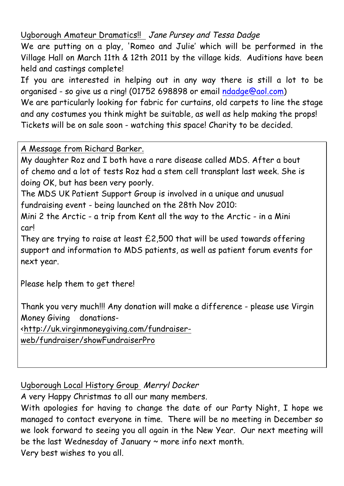### Ugborough Amateur Dramatics!! Jane Pursey and Tessa Dadge

We are putting on a play, 'Romeo and Julie' which will be performed in the Village Hall on March 11th & 12th 2011 by the village kids. Auditions have been held and castings complete!

If you are interested in helping out in any way there is still a lot to be organised - so give us a ring! (01752 698898 or email ndadge@aol.com) We are particularly looking for fabric for curtains, old carpets to line the stage

and any costumes you think might be suitable, as well as help making the props! Tickets will be on sale soon - watching this space! Charity to be decided.

A Message from Richard Barker.

My daughter Roz and I both have a rare disease called MDS. After a bout of chemo and a lot of tests Roz had a stem cell transplant last week. She is doing OK, but has been very poorly.

The MDS UK Patient Support Group is involved in a unique and unusual fundraising event - being launched on the 28th Nov 2010:

Mini 2 the Arctic - a trip from Kent all the way to the Arctic - in a Mini car!

They are trying to raise at least £2,500 that will be used towards offering support and information to MDS patients, as well as patient forum events for next year.

Please help them to get there!

Thank you very much!!! Any donation will make a difference - please use Virgin Money Giving donations-

<http://uk.virginmoneygiving.com/fundraiser-

web/fundraiser/showFundraiserPro

### Ugborough Local History Group Merryl Docker

A very Happy Christmas to all our many members.

With apologies for having to change the date of our Party Night, I hope we managed to contact everyone in time. There will be no meeting in December so we look forward to seeing you all again in the New Year. Our next meeting will be the last Wednesday of January  $\sim$  more info next month. Very best wishes to you all.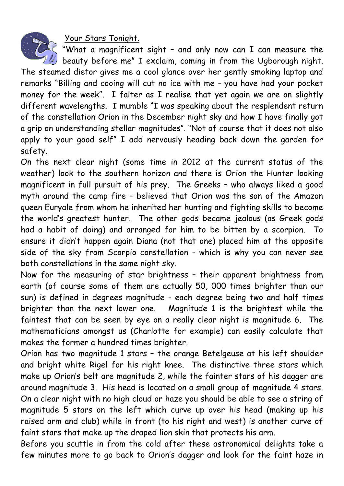Your Stars Tonight.



"What a magnificent sight – and only now can I can measure the beauty before me" I exclaim, coming in from the Ugborough night.

The steamed dietor gives me a cool glance over her gently smoking laptop and remarks "Billing and cooing will cut no ice with me - you have had your pocket money for the week". I falter as I realise that yet again we are on slightly different wavelengths. I mumble "I was speaking about the resplendent return of the constellation Orion in the December night sky and how I have finally got a grip on understanding stellar magnitudes". "Not of course that it does not also apply to your good self" I add nervously heading back down the garden for safety.

On the next clear night (some time in 2012 at the current status of the weather) look to the southern horizon and there is Orion the Hunter looking magnificent in full pursuit of his prey. The Greeks – who always liked a good myth around the camp fire – believed that Orion was the son of the Amazon queen Euryale from whom he inherited her hunting and fighting skills to become the world's greatest hunter. The other gods became jealous (as Greek gods had a habit of doing) and arranged for him to be bitten by a scorpion. ensure it didn't happen again Diana (not that one) placed him at the opposite side of the sky from Scorpio constellation - which is why you can never see both constellations in the same night sky.

Now for the measuring of star brightness – their apparent brightness from earth (of course some of them are actually 50, 000 times brighter than our sun) is defined in degrees magnitude - each degree being two and half times brighter than the next lower one. Magnitude 1 is the brightest while the faintest that can be seen by eye on a really clear night is magnitude 6. The mathematicians amongst us (Charlotte for example) can easily calculate that makes the former a hundred times brighter.

Orion has two magnitude 1 stars – the orange Betelgeuse at his left shoulder and bright white Rigel for his right knee. The distinctive three stars which make up Orion's belt are magnitude 2, while the fainter stars of his dagger are around magnitude 3. His head is located on a small group of magnitude 4 stars. On a clear night with no high cloud or haze you should be able to see a string of magnitude 5 stars on the left which curve up over his head (making up his raised arm and club) while in front (to his right and west) is another curve of faint stars that make up the draped lion skin that protects his arm.

Before you scuttle in from the cold after these astronomical delights take a few minutes more to go back to Orion's dagger and look for the faint haze in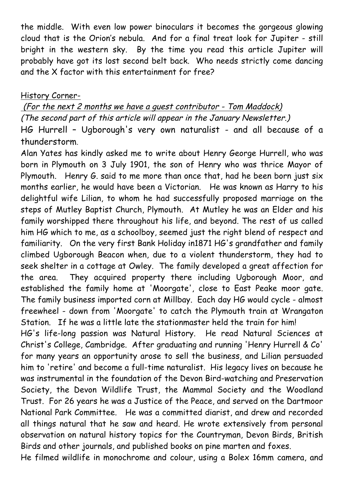the middle. With even low power binoculars it becomes the gorgeous glowing cloud that is the Orion's nebula. And for a final treat look for Jupiter - still bright in the western sky. By the time you read this article Jupiter will probably have got its lost second belt back. Who needs strictly come dancing and the X factor with this entertainment for free?

### History Corner-

(For the next 2 months we have a guest contributor - Tom Maddock) (The second part of this article will appear in the January Newsletter.) HG Hurrell – Ugborough's very own naturalist - and all because of a thunderstorm.

Alan Yates has kindly asked me to write about Henry George Hurrell, who was born in Plymouth on 3 July 1901, the son of Henry who was thrice Mayor of Plymouth. Henry G. said to me more than once that, had he been born just six months earlier, he would have been a Victorian. He was known as Harry to his delightful wife Lilian, to whom he had successfully proposed marriage on the steps of Mutley Baptist Church, Plymouth. At Mutley he was an Elder and his family worshipped there throughout his life, and beyond. The rest of us called him HG which to me, as a schoolboy, seemed just the right blend of respect and familiarity. On the very first Bank Holiday in1871 HG's grandfather and family climbed Ugborough Beacon when, due to a violent thunderstorm, they had to seek shelter in a cottage at Owley. The family developed a great affection for the area. They acquired property there including Ugborough Moor, and established the family home at 'Moorgate', close to East Peake moor gate. The family business imported corn at Millbay. Each day HG would cycle - almost freewheel - down from 'Moorgate' to catch the Plymouth train at Wrangaton Station. If he was a little late the stationmaster held the train for him!

HG's life-long passion was Natural History. He read Natural Sciences at Christ's College, Cambridge. After graduating and running 'Henry Hurrell & Co' for many years an opportunity arose to sell the business, and Lilian persuaded him to 'retire' and become a full-time naturalist. His legacy lives on because he was instrumental in the foundation of the Devon Bird-watching and Preservation Society, the Devon Wildlife Trust, the Mammal Society and the Woodland Trust. For 26 years he was a Justice of the Peace, and served on the Dartmoor National Park Committee. He was a committed diarist, and drew and recorded all things natural that he saw and heard. He wrote extensively from personal observation on natural history topics for the Countryman, Devon Birds, British Birds and other journals, and published books on pine marten and foxes.

He filmed wildlife in monochrome and colour, using a Bolex 16mm camera, and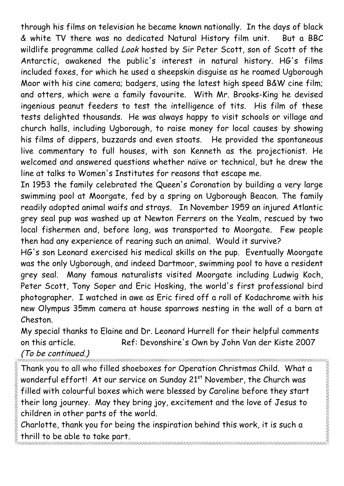through his films on television he became known nationally. In the days of black & white TV there was no dedicated Natural History film unit. But a BBC wildlife programme called Look hosted by Sir Peter Scott, son of Scott of the Antarctic, awakened the public's interest in natural history. HG's films included foxes, for which he used a sheepskin disguise as he roamed Ugborough Moor with his cine camera; badgers, using the latest high speed B&W cine film; and otters, which were a family favourite. With Mr. Brooks-King he devised ingenious peanut feeders to test the intelligence of tits. His film of these tests delighted thousands. He was always happy to visit schools or village and church halls, including Ugborough, to raise money for local causes by showing his films of dippers, buzzards and even stoats. He provided the spontaneous live commentary to full houses, with son Kenneth as the projectionist. He welcomed and answered questions whether naïve or technical, but he drew the line at talks to Women's Institutes for reasons that escape me.

In 1953 the family celebrated the Queen's Coronation by building a very large swimming pool at Moorgate, fed by a spring on Ugborough Beacon. The family readily adopted animal waifs and strays. In November 1959 an injured Atlantic grey seal pup was washed up at Newton Ferrers on the Yealm, rescued by two local fishermen and, before long, was transported to Moorgate. Few people then had any experience of rearing such an animal. Would it survive?

HG's son Leonard exercised his medical skills on the pup. Eventually Moorgate was the only Ugborough, and indeed Dartmoor, swimming pool to have a resident grey seal. Many famous naturalists visited Moorgate including Ludwig Koch, Peter Scott, Tony Soper and Eric Hosking, the world's first professional bird photographer. I watched in awe as Eric fired off a roll of Kodachrome with his new Olympus 35mm camera at house sparrows nesting in the wall of a barn at Cheston.

My special thanks to Elaine and Dr. Leonard Hurrell for their helpful comments on this article. Ref: Devonshire's Own by John Van der Kiste 2007

### (To be continued.)

Thank you to all who filled shoeboxes for Operation Christmas Child. What a wonderful effort! At our service on Sunday 21<sup>st</sup> November, the Church was filled with colourful boxes which were blessed by Caroline before they start their long journey. May they bring joy, excitement and the love of Jesus to children in other parts of the world.

.<br>RECEPTED A CONTROL DE CONTROL DE CONTROL DE CONTROL DE CONTROL DE CONTROL DE CONTROL DE CONTROL DE CONTROL DE

Charlotte, thank you for being the inspiration behind this work, it is such a thrill to be able to take part.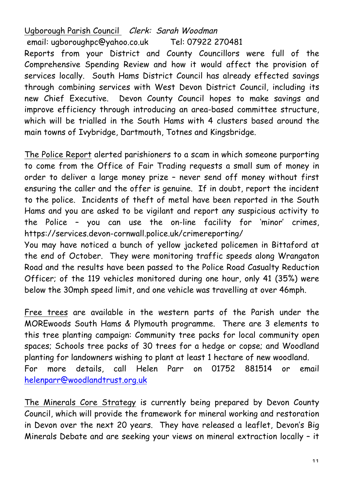Ugborough Parish Council Clerk: Sarah Woodman email: ugboroughpc@yahoo.co.uk Tel: 07922 270481 Reports from your District and County Councillors were full of the Comprehensive Spending Review and how it would affect the provision of services locally. South Hams District Council has already effected savings through combining services with West Devon District Council, including its new Chief Executive. Devon County Council hopes to make savings and improve efficiency through introducing an area-based committee structure, which will be trialled in the South Hams with 4 clusters based around the main towns of Ivybridge, Dartmouth, Totnes and Kingsbridge.

The Police Report alerted parishioners to a scam in which someone purporting to come from the Office of Fair Trading requests a small sum of money in order to deliver a large money prize – never send off money without first ensuring the caller and the offer is genuine. If in doubt, report the incident to the police. Incidents of theft of metal have been reported in the South Hams and you are asked to be vigilant and report any suspicious activity to the Police – you can use the on-line facility for 'minor' crimes, https://services.devon-cornwall.police.uk/crimereporting/

You may have noticed a bunch of yellow jacketed policemen in Bittaford at the end of October. They were monitoring traffic speeds along Wrangaton Road and the results have been passed to the Police Road Casualty Reduction Officer; of the 119 vehicles monitored during one hour, only 41 (35%) were below the 30mph speed limit, and one vehicle was travelling at over 46mph.

Free trees are available in the western parts of the Parish under the MOREwoods South Hams & Plymouth programme. There are 3 elements to this tree planting campaign: Community tree packs for local community open spaces; Schools tree packs of 30 trees for a hedge or copse; and Woodland planting for landowners wishing to plant at least 1 hectare of new woodland. For more details, call Helen Parr on 01752 881514 or email helenparr@woodlandtrust.org.uk

The Minerals Core Strategy is currently being prepared by Devon County Council, which will provide the framework for mineral working and restoration in Devon over the next 20 years. They have released a leaflet, Devon's Big Minerals Debate and are seeking your views on mineral extraction locally – it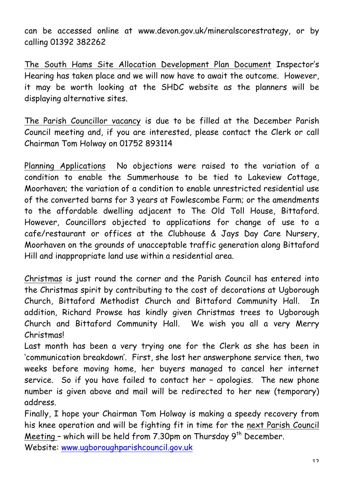can be accessed online at www.devon.gov.uk/mineralscorestrategy, or by calling 01392 382262

The South Hams Site Allocation Development Plan Document Inspector's Hearing has taken place and we will now have to await the outcome. However, it may be worth looking at the SHDC website as the planners will be displaying alternative sites.

The Parish Councillor vacancy is due to be filled at the December Parish Council meeting and, if you are interested, please contact the Clerk or call Chairman Tom Holway on 01752 893114

Planning Applications No objections were raised to the variation of a condition to enable the Summerhouse to be tied to Lakeview Cottage, Moorhaven; the variation of a condition to enable unrestricted residential use of the converted barns for 3 years at Fowlescombe Farm; or the amendments to the affordable dwelling adjacent to The Old Toll House, Bittaford. However, Councillors objected to applications for change of use to a cafe/restaurant or offices at the Clubhouse & Jays Day Care Nursery, Moorhaven on the grounds of unacceptable traffic generation along Bittaford Hill and inappropriate land use within a residential area.

Christmas is just round the corner and the Parish Council has entered into the Christmas spirit by contributing to the cost of decorations at Ugborough Church, Bittaford Methodist Church and Bittaford Community Hall. In addition, Richard Prowse has kindly given Christmas trees to Ugborough Church and Bittaford Community Hall. We wish you all a very Merry Christmas!

Last month has been a very trying one for the Clerk as she has been in 'communication breakdown'. First, she lost her answerphone service then, two weeks before moving home, her buyers managed to cancel her internet service. So if you have failed to contact her – apologies. The new phone number is given above and mail will be redirected to her new (temporary) address.

Finally, I hope your Chairman Tom Holway is making a speedy recovery from his knee operation and will be fighting fit in time for the next Parish Council Meeting - which will be held from  $7.30$ pm on Thursday  $9<sup>th</sup>$  December. Website: www.ugboroughparishcouncil.gov.uk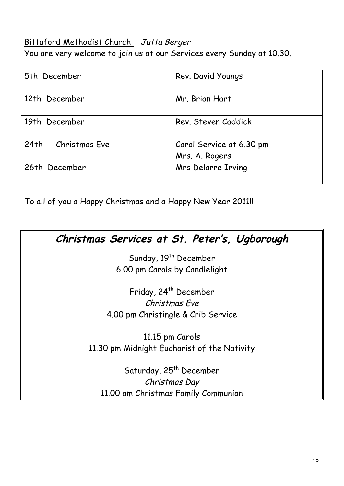# Bittaford Methodist Church Jutta Berger

You are very welcome to join us at our Services every Sunday at 10.30.

| 5th December         | Rev. David Youngs                          |
|----------------------|--------------------------------------------|
| 12th December        | Mr. Brian Hart                             |
| 19th December        | Rev. Steven Caddick                        |
| 24th - Christmas Eve | Carol Service at 6.30 pm<br>Mrs. A. Rogers |
| 26th December        | Mrs Delarre Irving                         |

To all of you a Happy Christmas and a Happy New Year 2011!!

| Christmas Services at St. Peter's, Ugborough |
|----------------------------------------------|
| Sunday, 19 <sup>th</sup> December            |
| 6.00 pm Carols by Candlelight                |
| Friday, 24 <sup>th</sup> December            |
| Christmas Fve                                |
| 4.00 pm Christingle & Crib Service           |
| 11.15 pm Carols                              |
| 11.30 pm Midnight Eucharist of the Nativity  |
| Saturday, 25 <sup>th</sup> December          |
| Christmas Day                                |
| 11.00 am Christmas Family Communion          |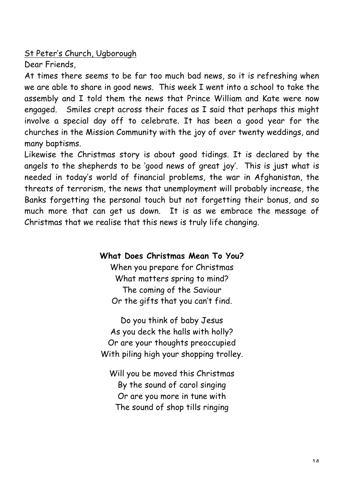St Peter's Church, Ugborough

Dear Friends,

At times there seems to be far too much bad news, so it is refreshing when we are able to share in good news. This week I went into a school to take the assembly and I told them the news that Prince William and Kate were now engaged. Smiles crept across their faces as I said that perhaps this might involve a special day off to celebrate. It has been a good year for the churches in the Mission Community with the joy of over twenty weddings, and many baptisms.

Likewise the Christmas story is about good tidings. It is declared by the angels to the shepherds to be 'good news of great joy'. This is just what is needed in today's world of financial problems, the war in Afghanistan, the threats of terrorism, the news that unemployment will probably increase, the Banks forgetting the personal touch but not forgetting their bonus, and so much more that can get us down. It is as we embrace the message of Christmas that we realise that this news is truly life changing.

**What Does Christmas Mean To You?**

When you prepare for Christmas What matters spring to mind? The coming of the Saviour Or the gifts that you can't find.

Do you think of baby Jesus As you deck the halls with holly? Or are your thoughts preoccupied With piling high your shopping trolley.

Will you be moved this Christmas By the sound of carol singing Or are you more in tune with The sound of shop tills ringing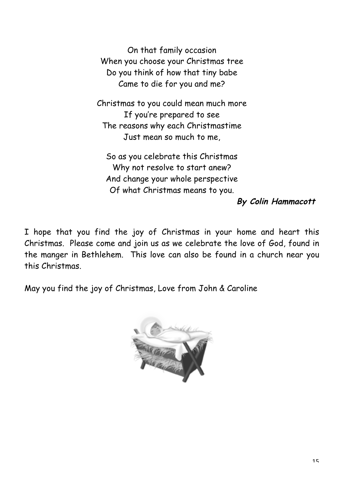On that family occasion When you choose your Christmas tree Do you think of how that tiny babe Came to die for you and me?

Christmas to you could mean much more If you're prepared to see The reasons why each Christmastime Just mean so much to me,

So as you celebrate this Christmas Why not resolve to start anew? And change your whole perspective Of what Christmas means to you.

**By Colin Hammacott**

I hope that you find the joy of Christmas in your home and heart this Christmas. Please come and join us as we celebrate the love of God, found in the manger in Bethlehem. This love can also be found in a church near you this Christmas.

May you find the joy of Christmas, Love from John & Caroline